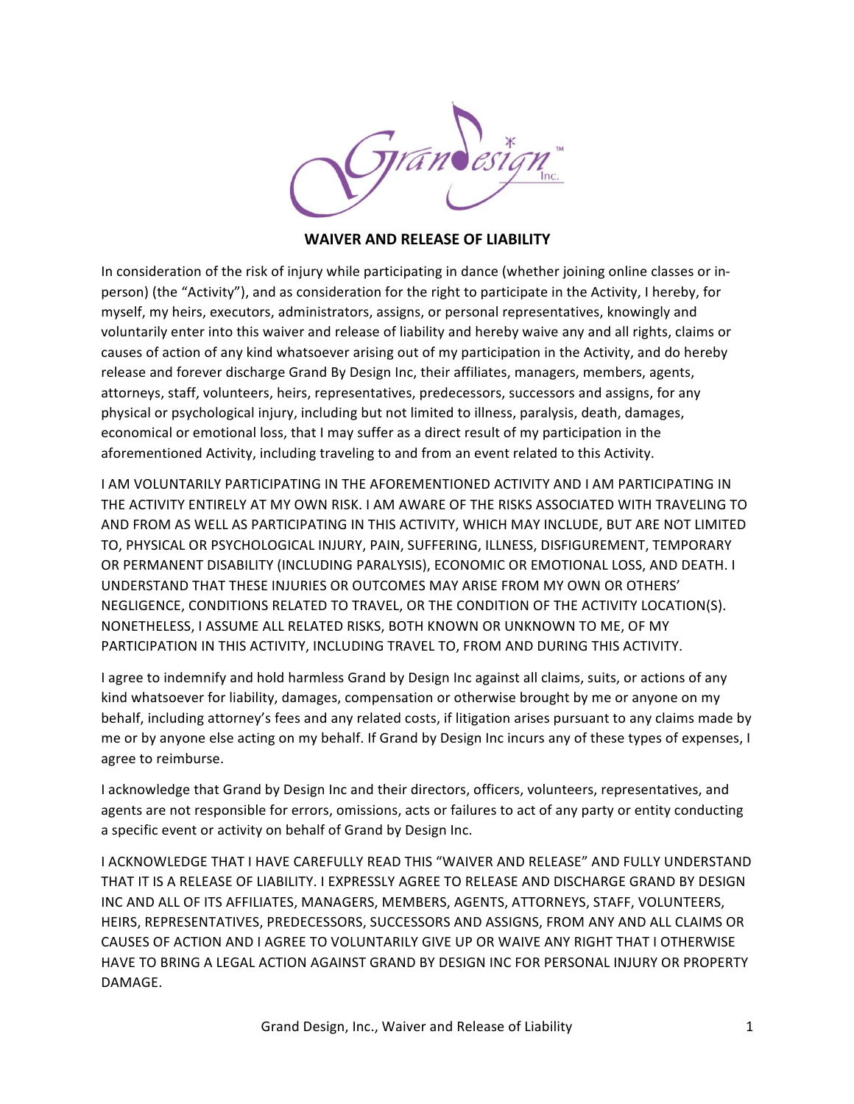

## **WAIVER AND RELEASE OF LIABILITY**

In consideration of the risk of injury while participating in dance (whether joining online classes or inperson) (the "Activity"), and as consideration for the right to participate in the Activity, I hereby, for myself, my heirs, executors, administrators, assigns, or personal representatives, knowingly and voluntarily enter into this waiver and release of liability and hereby waive any and all rights, claims or causes of action of any kind whatsoever arising out of my participation in the Activity, and do hereby release and forever discharge Grand By Design Inc, their affiliates, managers, members, agents, attorneys, staff, volunteers, heirs, representatives, predecessors, successors and assigns, for any physical or psychological injury, including but not limited to illness, paralysis, death, damages, economical or emotional loss, that I may suffer as a direct result of my participation in the aforementioned Activity, including traveling to and from an event related to this Activity.

I AM VOLUNTARILY PARTICIPATING IN THE AFOREMENTIONED ACTIVITY AND I AM PARTICIPATING IN THE ACTIVITY ENTIRELY AT MY OWN RISK. I AM AWARE OF THE RISKS ASSOCIATED WITH TRAVELING TO AND FROM AS WELL AS PARTICIPATING IN THIS ACTIVITY, WHICH MAY INCLUDE, BUT ARE NOT LIMITED TO, PHYSICAL OR PSYCHOLOGICAL INJURY, PAIN, SUFFERING, ILLNESS, DISFIGUREMENT, TEMPORARY OR PERMANENT DISABILITY (INCLUDING PARALYSIS), ECONOMIC OR EMOTIONAL LOSS, AND DEATH. I UNDERSTAND THAT THESE INJURIES OR OUTCOMES MAY ARISE FROM MY OWN OR OTHERS' NEGLIGENCE, CONDITIONS RELATED TO TRAVEL, OR THE CONDITION OF THE ACTIVITY LOCATION(S). NONETHELESS, I ASSUME ALL RELATED RISKS, BOTH KNOWN OR UNKNOWN TO ME, OF MY PARTICIPATION IN THIS ACTIVITY, INCLUDING TRAVEL TO, FROM AND DURING THIS ACTIVITY.

I agree to indemnify and hold harmless Grand by Design Inc against all claims, suits, or actions of any kind whatsoever for liability, damages, compensation or otherwise brought by me or anyone on my behalf, including attorney's fees and any related costs, if litigation arises pursuant to any claims made by me or by anyone else acting on my behalf. If Grand by Design Inc incurs any of these types of expenses, I agree to reimburse.

I acknowledge that Grand by Design Inc and their directors, officers, volunteers, representatives, and agents are not responsible for errors, omissions, acts or failures to act of any party or entity conducting a specific event or activity on behalf of Grand by Design Inc.

I ACKNOWLEDGE THAT I HAVE CAREFULLY READ THIS "WAIVER AND RELEASE" AND FULLY UNDERSTAND THAT IT IS A RELEASE OF LIABILITY. I EXPRESSLY AGREE TO RELEASE AND DISCHARGE GRAND BY DESIGN INC AND ALL OF ITS AFFILIATES, MANAGERS, MEMBERS, AGENTS, ATTORNEYS, STAFF, VOLUNTEERS, HEIRS, REPRESENTATIVES, PREDECESSORS, SUCCESSORS AND ASSIGNS, FROM ANY AND ALL CLAIMS OR CAUSES OF ACTION AND I AGREE TO VOLUNTARILY GIVE UP OR WAIVE ANY RIGHT THAT I OTHERWISE HAVE TO BRING A LEGAL ACTION AGAINST GRAND BY DESIGN INC FOR PERSONAL INJURY OR PROPERTY DAMAGE.